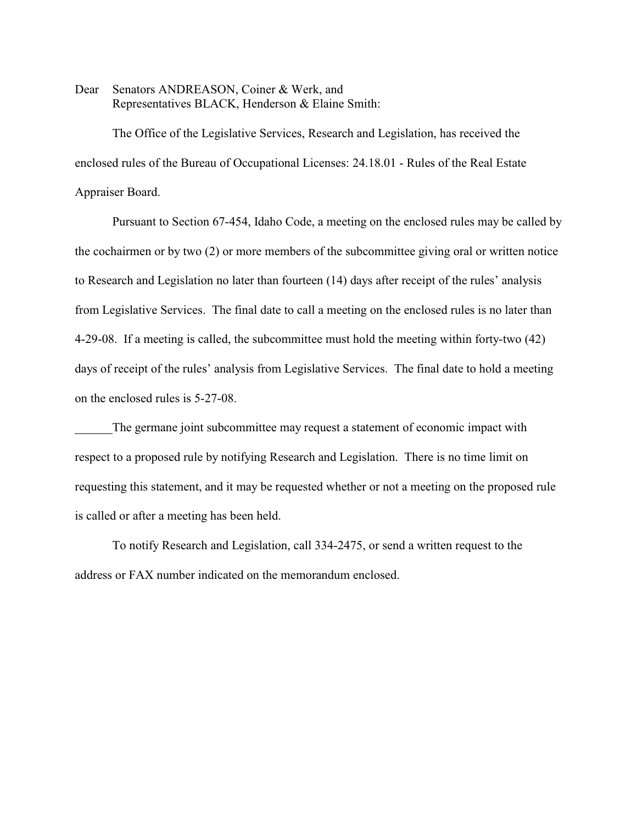Dear Senators ANDREASON, Coiner & Werk, and Representatives BLACK, Henderson & Elaine Smith:

The Office of the Legislative Services, Research and Legislation, has received the enclosed rules of the Bureau of Occupational Licenses: 24.18.01 - Rules of the Real Estate Appraiser Board.

Pursuant to Section 67-454, Idaho Code, a meeting on the enclosed rules may be called by the cochairmen or by two (2) or more members of the subcommittee giving oral or written notice to Research and Legislation no later than fourteen (14) days after receipt of the rules' analysis from Legislative Services. The final date to call a meeting on the enclosed rules is no later than 4-29-08. If a meeting is called, the subcommittee must hold the meeting within forty-two (42) days of receipt of the rules' analysis from Legislative Services. The final date to hold a meeting on the enclosed rules is 5-27-08.

The germane joint subcommittee may request a statement of economic impact with respect to a proposed rule by notifying Research and Legislation. There is no time limit on requesting this statement, and it may be requested whether or not a meeting on the proposed rule is called or after a meeting has been held.

To notify Research and Legislation, call 334-2475, or send a written request to the address or FAX number indicated on the memorandum enclosed.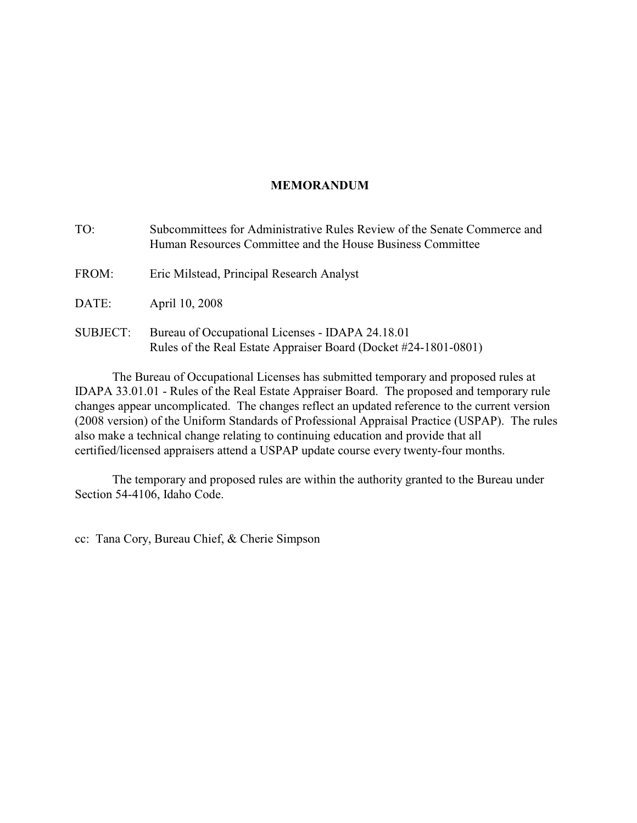## **MEMORANDUM**

TO: Subcommittees for Administrative Rules Review of the Senate Commerce and Human Resources Committee and the House Business Committee FROM: Eric Milstead, Principal Research Analyst DATE: April 10, 2008 SUBJECT: Bureau of Occupational Licenses - IDAPA 24.18.01 Rules of the Real Estate Appraiser Board (Docket #24-1801-0801)

The Bureau of Occupational Licenses has submitted temporary and proposed rules at IDAPA 33.01.01 - Rules of the Real Estate Appraiser Board. The proposed and temporary rule changes appear uncomplicated. The changes reflect an updated reference to the current version (2008 version) of the Uniform Standards of Professional Appraisal Practice (USPAP). The rules also make a technical change relating to continuing education and provide that all certified/licensed appraisers attend a USPAP update course every twenty-four months.

The temporary and proposed rules are within the authority granted to the Bureau under Section 54-4106, Idaho Code.

cc: Tana Cory, Bureau Chief, & Cherie Simpson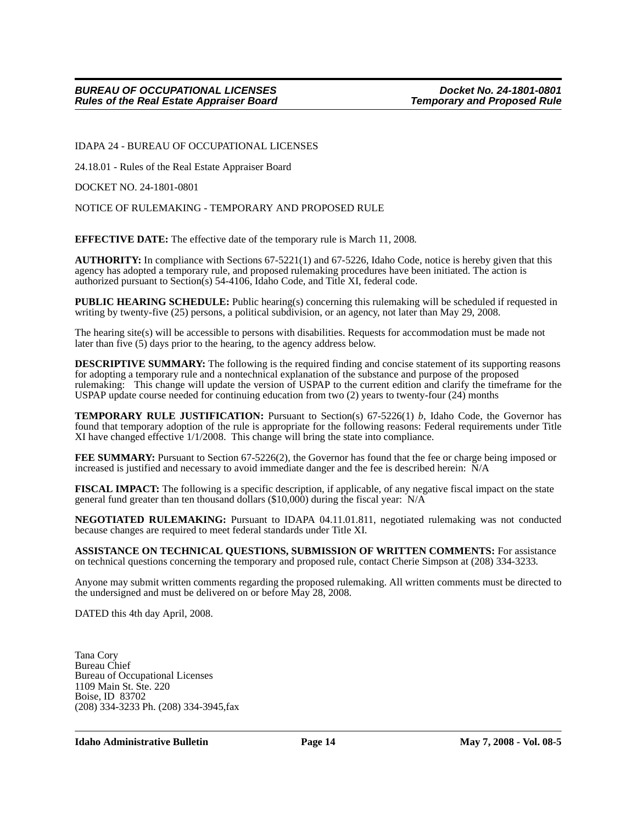IDAPA 24 - BUREAU OF OCCUPATIONAL LICENSES

24.18.01 - Rules of the Real Estate Appraiser Board

DOCKET NO. 24-1801-0801

NOTICE OF RULEMAKING - TEMPORARY AND PROPOSED RULE

**EFFECTIVE DATE:** The effective date of the temporary rule is March 11, 2008*.*

**AUTHORITY:** In compliance with Sections 67-5221(1) and 67-5226, Idaho Code, notice is hereby given that this agency has adopted a temporary rule, and proposed rulemaking procedures have been initiated. The action is authorized pursuant to Section(s) 54-4106, Idaho Code, and Title XI, federal code.

**PUBLIC HEARING SCHEDULE:** Public hearing(s) concerning this rulemaking will be scheduled if requested in writing by twenty-five (25) persons, a political subdivision, or an agency, not later than May 29, 2008.

The hearing site(s) will be accessible to persons with disabilities. Requests for accommodation must be made not later than five (5) days prior to the hearing, to the agency address below.

**DESCRIPTIVE SUMMARY:** The following is the required finding and concise statement of its supporting reasons for adopting a temporary rule and a nontechnical explanation of the substance and purpose of the proposed rulemaking: This change will update the version of USPAP to the current edition and clarify the timeframe for the USPAP update course needed for continuing education from two (2) years to twenty-four (24) months

**TEMPORARY RULE JUSTIFICATION:** Pursuant to Section(s) 67-5226(1) *b*, Idaho Code, the Governor has found that temporary adoption of the rule is appropriate for the following reasons: Federal requirements under Title XI have changed effective 1/1/2008. This change will bring the state into compliance.

**FEE SUMMARY:** Pursuant to Section 67-5226(2), the Governor has found that the fee or charge being imposed or increased is justified and necessary to avoid immediate danger and the fee is described herein: N/A

**FISCAL IMPACT:** The following is a specific description, if applicable, of any negative fiscal impact on the state general fund greater than ten thousand dollars (\$10,000) during the fiscal year: N/A

**NEGOTIATED RULEMAKING:** Pursuant to IDAPA 04.11.01.811, negotiated rulemaking was not conducted because changes are required to meet federal standards under Title XI*.*

**ASSISTANCE ON TECHNICAL QUESTIONS, SUBMISSION OF WRITTEN COMMENTS:** For assistance on technical questions concerning the temporary and proposed rule, contact Cherie Simpson at (208) 334-3233*.*

Anyone may submit written comments regarding the proposed rulemaking. All written comments must be directed to the undersigned and must be delivered on or before May 28, 2008.

DATED this 4th day April, 2008.

Tana Cory Bureau Chief Bureau of Occupational Licenses 1109 Main St. Ste. 220 Boise, ID 83702 (208) 334-3233 Ph. (208) 334-3945,fax